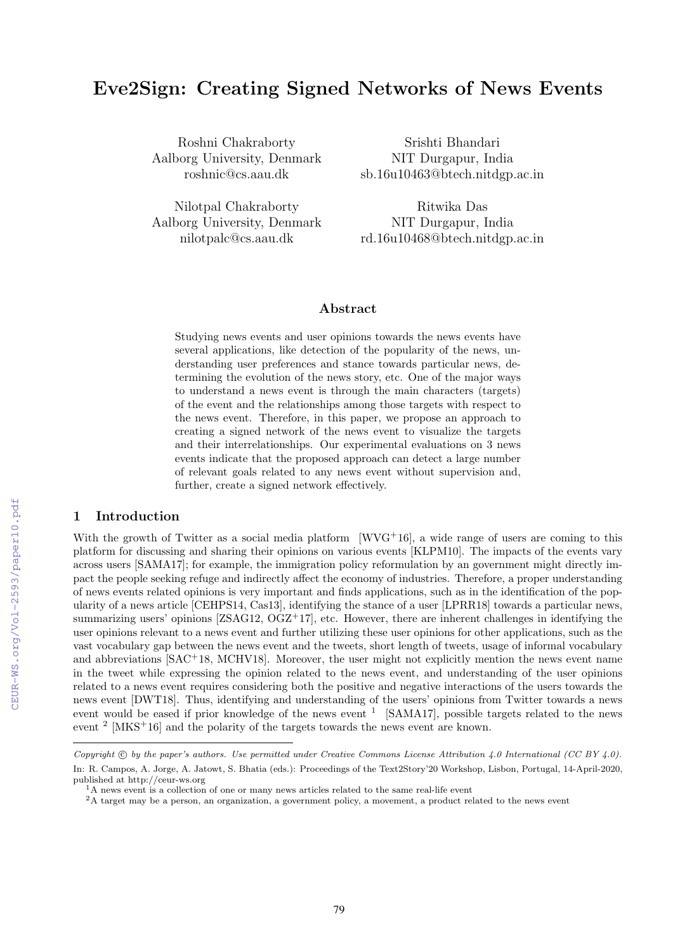# Eve2Sign: Creating Signed Networks of News Events

Roshni Chakraborty Aalborg University, Denmark roshnic@cs.aau.dk

Nilotpal Chakraborty Aalborg University, Denmark nilotpalc@cs.aau.dk

Srishti Bhandari NIT Durgapur, India sb.16u10463@btech.nitdgp.ac.in

Ritwika Das NIT Durgapur, India rd.16u10468@btech.nitdgp.ac.in

## Abstract

Studying news events and user opinions towards the news events have several applications, like detection of the popularity of the news, understanding user preferences and stance towards particular news, determining the evolution of the news story, etc. One of the major ways to understand a news event is through the main characters (targets) of the event and the relationships among those targets with respect to the news event. Therefore, in this paper, we propose an approach to creating a signed network of the news event to visualize the targets and their interrelationships. Our experimental evaluations on 3 news events indicate that the proposed approach can detect a large number of relevant goals related to any news event without supervision and, further, create a signed network effectively.

## 1 Introduction

With the growth of Twitter as a social media platform  $[WVG^{+16}]$ , a wide range of users are coming to this platform for discussing and sharing their opinions on various events [KLPM10]. The impacts of the events vary across users [SAMA17]; for example, the immigration policy reformulation by an government might directly impact the people seeking refuge and indirectly affect the economy of industries. Therefore, a proper understanding of news events related opinions is very important and finds applications, such as in the identification of the popularity of a news article [CEHPS14, Cas13], identifying the stance of a user [LPRR18] towards a particular news, summarizing users' opinions  $[ZSAG12, OGZ^+17]$ , etc. However, there are inherent challenges in identifying the user opinions relevant to a news event and further utilizing these user opinions for other applications, such as the vast vocabulary gap between the news event and the tweets, short length of tweets, usage of informal vocabulary and abbreviations [SAC<sup>+</sup>18, MCHV18]. Moreover, the user might not explicitly mention the news event name in the tweet while expressing the opinion related to the news event, and understanding of the user opinions related to a news event requires considering both the positive and negative interactions of the users towards the news event [DWT18]. Thus, identifying and understanding of the users' opinions from Twitter towards a news event would be eased if prior knowledge of the news event  $1$  [SAMA17], possible targets related to the news event  $2 \text{ [MKS+16]}$  and the polarity of the targets towards the news event are known.

*Copyright* (c) by the paper's authors. Use permitted under Creative Commons License Attribution 4.0 International (CC BY 4.0). In: R. Campos, A. Jorge, A. Jatowt, S. Bhatia (eds.): Proceedings of the Text2Story'20 Workshop, Lisbon, Portugal, 14-April-2020, published at http://ceur-ws.org

<sup>&</sup>lt;sup>1</sup>A news event is a collection of one or many news articles related to the same real-life event

<sup>&</sup>lt;sup>2</sup>A target may be a person, an organization, a government policy, a movement, a product related to the news event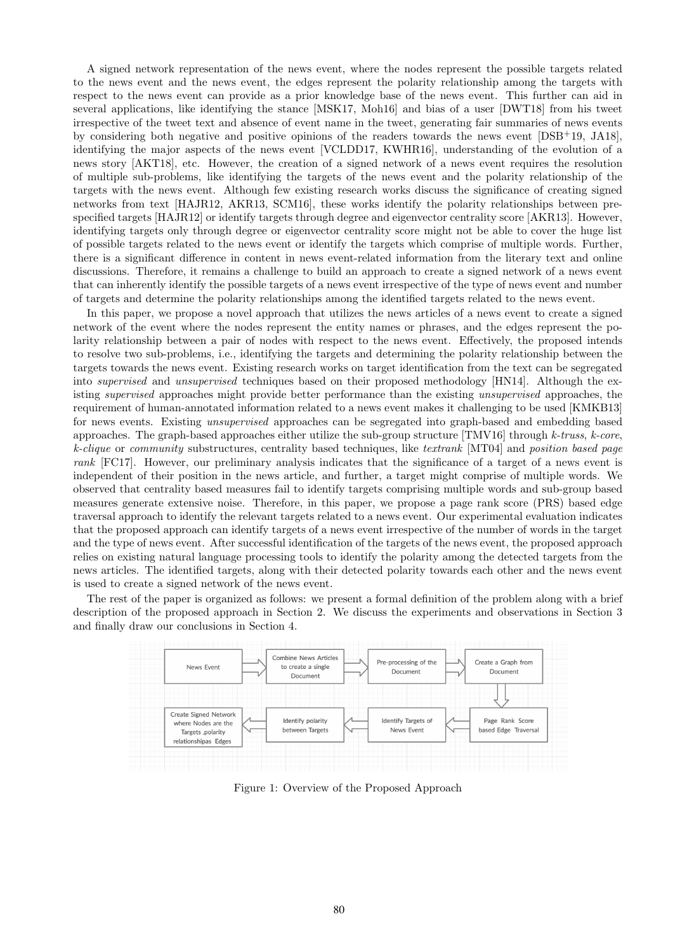A signed network representation of the news event, where the nodes represent the possible targets related to the news event and the news event, the edges represent the polarity relationship among the targets with respect to the news event can provide as a prior knowledge base of the news event. This further can aid in several applications, like identifying the stance [MSK17, Moh16] and bias of a user [DWT18] from his tweet irrespective of the tweet text and absence of event name in the tweet, generating fair summaries of news events by considering both negative and positive opinions of the readers towards the news event [DSB+19, JA18], identifying the major aspects of the news event [VCLDD17, KWHR16], understanding of the evolution of a news story [AKT18], etc. However, the creation of a signed network of a news event requires the resolution of multiple sub-problems, like identifying the targets of the news event and the polarity relationship of the targets with the news event. Although few existing research works discuss the significance of creating signed networks from text [HAJR12, AKR13, SCM16], these works identify the polarity relationships between prespecified targets [HAJR12] or identify targets through degree and eigenvector centrality score [AKR13]. However, identifying targets only through degree or eigenvector centrality score might not be able to cover the huge list of possible targets related to the news event or identify the targets which comprise of multiple words. Further, there is a significant difference in content in news event-related information from the literary text and online discussions. Therefore, it remains a challenge to build an approach to create a signed network of a news event that can inherently identify the possible targets of a news event irrespective of the type of news event and number of targets and determine the polarity relationships among the identified targets related to the news event.

In this paper, we propose a novel approach that utilizes the news articles of a news event to create a signed network of the event where the nodes represent the entity names or phrases, and the edges represent the polarity relationship between a pair of nodes with respect to the news event. Effectively, the proposed intends to resolve two sub-problems, i.e., identifying the targets and determining the polarity relationship between the targets towards the news event. Existing research works on target identification from the text can be segregated into *supervised* and *unsupervised* techniques based on their proposed methodology [HN14]. Although the existing *supervised* approaches might provide better performance than the existing *unsupervised* approaches, the requirement of human-annotated information related to a news event makes it challenging to be used [KMKB13] for news events. Existing *unsupervised* approaches can be segregated into graph-based and embedding based approaches. The graph-based approaches either utilize the sub-group structure [TMV16] through *k-truss*, *k-core*, *k-clique* or *community* substructures, centrality based techniques, like *textrank* [MT04] and *position based page rank* [FC17]. However, our preliminary analysis indicates that the significance of a target of a news event is independent of their position in the news article, and further, a target might comprise of multiple words. We observed that centrality based measures fail to identify targets comprising multiple words and sub-group based measures generate extensive noise. Therefore, in this paper, we propose a page rank score (PRS) based edge traversal approach to identify the relevant targets related to a news event. Our experimental evaluation indicates that the proposed approach can identify targets of a news event irrespective of the number of words in the target and the type of news event. After successful identification of the targets of the news event, the proposed approach relies on existing natural language processing tools to identify the polarity among the detected targets from the news articles. The identified targets, along with their detected polarity towards each other and the news event is used to create a signed network of the news event.

The rest of the paper is organized as follows: we present a formal definition of the problem along with a brief description of the proposed approach in Section 2. We discuss the experiments and observations in Section 3 and finally draw our conclusions in Section 4.



Figure 1: Overview of the Proposed Approach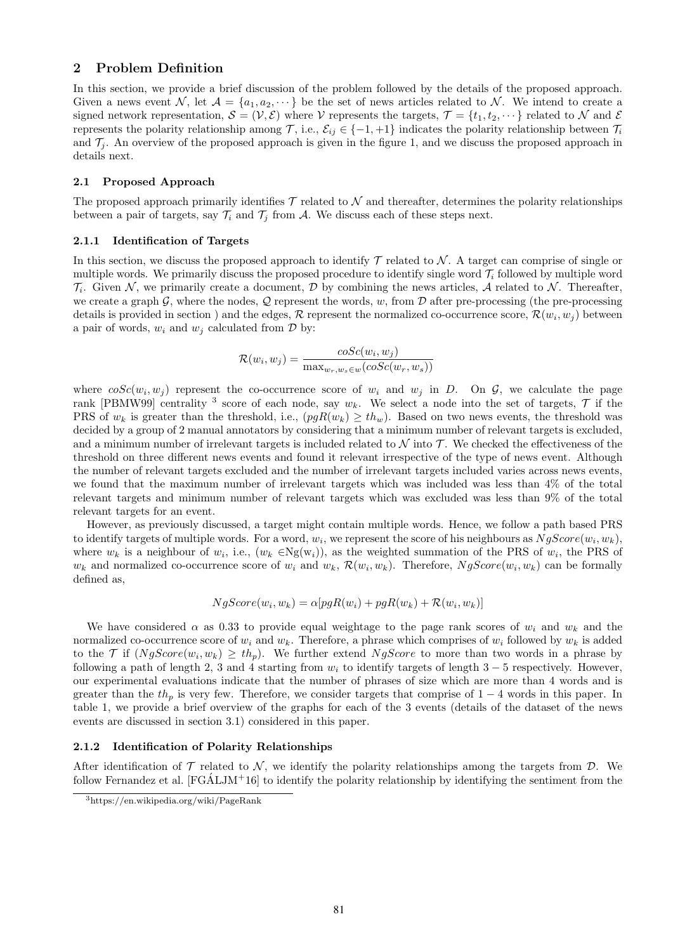## 2 Problem Definition

In this section, we provide a brief discussion of the problem followed by the details of the proposed approach. Given a news event  $\mathcal{N}$ , let  $\mathcal{A} = \{a_1, a_2, \dots\}$  be the set of news articles related to  $\mathcal{N}$ . We intend to create a signed network representation,  $\mathcal{S} = (\mathcal{V}, \mathcal{E})$  where  $\mathcal{V}$  represents the targets,  $\mathcal{T} = \{t_1, t_2, \dots\}$  related to  $\mathcal{N}$  and  $\mathcal{E}$ represents the polarity relationship among  $\mathcal{T}$ , i.e.,  $\mathcal{E}_{ij} \in \{-1, +1\}$  indicates the polarity relationship between  $\mathcal{T}_i$ and  $\mathcal{T}_i$ . An overview of the proposed approach is given in the figure 1, and we discuss the proposed approach in details next.

#### 2.1 Proposed Approach

The proposed approach primarily identifies  $\mathcal T$  related to  $\mathcal N$  and thereafter, determines the polarity relationships between a pair of targets, say  $\mathcal{T}_i$  and  $\mathcal{T}_j$  from  $\mathcal{A}$ . We discuss each of these steps next.

### 2.1.1 Identification of Targets

In this section, we discuss the proposed approach to identify  $\mathcal T$  related to  $\mathcal N$ . A target can comprise of single or multiple words. We primarily discuss the proposed procedure to identify single word  $\mathcal{T}_i$  followed by multiple word  $\mathcal{T}_i$ . Given *N*, we primarily create a document, *D* by combining the news articles, *A* related to *N*. Thereafter, we create a graph  $\mathcal{G}$ , where the nodes,  $\mathcal{Q}$  represent the words,  $w$ , from  $\mathcal{D}$  after pre-processing (the pre-processing details is provided in section ) and the edges,  $\mathcal{R}$  represent the normalized co-occurrence score,  $\mathcal{R}(w_i, w_j)$  between a pair of words,  $w_i$  and  $w_j$  calculated from  $\mathcal D$  by:

$$
\mathcal{R}(w_i, w_j) = \frac{cosc(w_i, w_j)}{\max_{w_r, w_s \in w}(cosc(w_r, w_s))}
$$

where  $\cos c(w_i, w_j)$  represent the co-occurrence score of  $w_i$  and  $w_j$  in *D*. On  $\mathcal{G}$ , we calculate the page rank [PBMW99] centrality <sup>3</sup> score of each node, say  $w_k$ . We select a node into the set of targets,  $\mathcal T$  if the PRS of  $w_k$  is greater than the threshold, i.e.,  $(pgR(w_k) \geq th_w)$ . Based on two news events, the threshold was decided by a group of 2 manual annotators by considering that a minimum number of relevant targets is excluded, and a minimum number of irrelevant targets is included related to  $\mathcal N$  into  $\mathcal T$ . We checked the effectiveness of the threshold on three different news events and found it relevant irrespective of the type of news event. Although the number of relevant targets excluded and the number of irrelevant targets included varies across news events, we found that the maximum number of irrelevant targets which was included was less than 4% of the total relevant targets and minimum number of relevant targets which was excluded was less than 9% of the total relevant targets for an event.

However, as previously discussed, a target might contain multiple words. Hence, we follow a path based PRS to identify targets of multiple words. For a word,  $w_i$ , we represent the score of his neighbours as  $NqScore(w_i, w_k)$ , where  $w_k$  is a neighbour of  $w_i$ , i.e.,  $(w_k \in \text{Ng}(w_i))$ , as the weighted summation of the PRS of  $w_i$ , the PRS of  $w_k$  and normalized co-occurrence score of  $w_i$  and  $w_k$ ,  $\mathcal{R}(w_i, w_k)$ . Therefore,  $NgScore(w_i, w_k)$  can be formally defined as,

$$
NgScore(w_i, w_k) = \alpha[pgR(w_i) + pgR(w_k) + R(w_i, w_k)]
$$

We have considered  $\alpha$  as 0.33 to provide equal weightage to the page rank scores of  $w_i$  and  $w_k$  and the normalized co-occurrence score of  $w_i$  and  $w_k$ . Therefore, a phrase which comprises of  $w_i$  followed by  $w_k$  is added to the *T* if  $(NgScore(w_i, w_k) \geq th_p)$ . We further extend *NgScore* to more than two words in a phrase by following a path of length 2, 3 and 4 starting from  $w_i$  to identify targets of length  $3-5$  respectively. However, our experimental evaluations indicate that the number of phrases of size which are more than 4 words and is greater than the  $th<sub>n</sub>$  is very few. Therefore, we consider targets that comprise of  $1-4$  words in this paper. In table 1, we provide a brief overview of the graphs for each of the 3 events (details of the dataset of the news events are discussed in section 3.1) considered in this paper.

#### 2.1.2 Identification of Polarity Relationships

After identification of  $\mathcal T$  related to  $\mathcal N$ , we identify the polarity relationships among the targets from  $\mathcal D$ . We follow Fernandez et al.  $[FG\hat{A}LJM^+16]$  to identify the polarity relationship by identifying the sentiment from the

<sup>3</sup>https://en.wikipedia.org/wiki/PageRank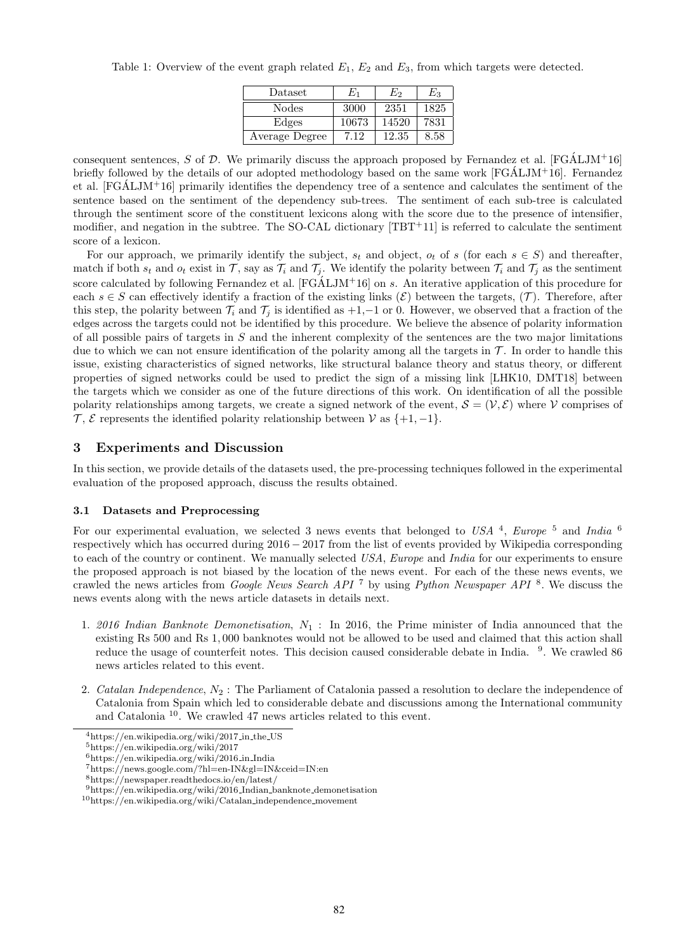|  | Table 1: Overview of the event graph related $E_1$ , $E_2$ and $E_3$ , from which targets were detected. |  |  |  |  |  |  |
|--|----------------------------------------------------------------------------------------------------------|--|--|--|--|--|--|
|--|----------------------------------------------------------------------------------------------------------|--|--|--|--|--|--|

| Dataset        | $E_1$ | E2    | Eз   |
|----------------|-------|-------|------|
| Nodes          | 3000  | 2351  | 1825 |
| Edges          | 10673 | 14520 | 7831 |
| Average Degree | 7 12  | 12.35 | 8.58 |

consequent sentences,  $S$  of  $D$ . We primarily discuss the approach proposed by Fernandez et al.  $[FGALJM^+16]$ briefly followed by the details of our adopted methodology based on the same work  $[FGALJM^+16]$ . Fernandez et al.  $[FGALJM^+16]$  primarily identifies the dependency tree of a sentence and calculates the sentiment of the sentence based on the sentiment of the dependency sub-trees. The sentiment of each sub-tree is calculated through the sentiment score of the constituent lexicons along with the score due to the presence of intensifier, modifier, and negation in the subtree. The SO-CAL dictionary [TBT+11] is referred to calculate the sentiment score of a lexicon.

For our approach, we primarily identify the subject,  $s_t$  and object,  $o_t$  of  $s$  (for each  $s \in S$ ) and thereafter, match if both  $s_t$  and  $o_t$  exist in  $\mathcal{T}$ , say as  $\mathcal{T}_i$  and  $\mathcal{T}_i$ . We identify the polarity between  $\mathcal{T}_i$  and  $\mathcal{T}_j$  as the sentiment score calculated by following Fernandez et al.  $[FG\AA LJM^+16]$  on *s*. An iterative application of this procedure for each  $s \in S$  can effectively identify a fraction of the existing links  $(\mathcal{E})$  between the targets,  $(\mathcal{T})$ . Therefore, after this step, the polarity between  $\mathcal{T}_i$  and  $\mathcal{T}_j$  is identified as  $+1,-1$  or 0. However, we observed that a fraction of the edges across the targets could not be identified by this procedure. We believe the absence of polarity information of all possible pairs of targets in *S* and the inherent complexity of the sentences are the two major limitations due to which we can not ensure identification of the polarity among all the targets in  $\mathcal T$ . In order to handle this issue, existing characteristics of signed networks, like structural balance theory and status theory, or different properties of signed networks could be used to predict the sign of a missing link [LHK10, DMT18] between the targets which we consider as one of the future directions of this work. On identification of all the possible polarity relationships among targets, we create a signed network of the event,  $\mathcal{S} = (\mathcal{V}, \mathcal{E})$  where  $\mathcal{V}$  comprises of  $\mathcal{T}, \mathcal{E}$  represents the identified polarity relationship between  $\mathcal{V}$  as  $\{+1, -1\}$ .

## 3 Experiments and Discussion

In this section, we provide details of the datasets used, the pre-processing techniques followed in the experimental evaluation of the proposed approach, discuss the results obtained.

### 3.1 Datasets and Preprocessing

For our experimental evaluation, we selected 3 news events that belonged to *USA* <sup>4</sup>, *Europe* <sup>5</sup> and *India* <sup>6</sup> respectively which has occurred during  $2016 - 2017$  from the list of events provided by Wikipedia corresponding to each of the country or continent. We manually selected *USA*, *Europe* and *India* for our experiments to ensure the proposed approach is not biased by the location of the news event. For each of the these news events, we crawled the news articles from *Google News Search API* <sup>7</sup> by using *Python Newspaper API* <sup>8</sup>. We discuss the news events along with the news article datasets in details next.

- 1. *2016 Indian Banknote Demonetisation*, *N*<sup>1</sup> : In 2016, the Prime minister of India announced that the existing Rs 500 and Rs 1*,* 000 banknotes would not be allowed to be used and claimed that this action shall reduce the usage of counterfeit notes. This decision caused considerable debate in India. <sup>9</sup>. We crawled 86 news articles related to this event.
- 2. *Catalan Independence*, *N*<sup>2</sup> : The Parliament of Catalonia passed a resolution to declare the independence of Catalonia from Spain which led to considerable debate and discussions among the International community and Catalonia <sup>10</sup>. We crawled 47 news articles related to this event.

<sup>4</sup>https://en.wikipedia.org/wiki/2017 in the US

<sup>5</sup>https://en.wikipedia.org/wiki/2017

<sup>6</sup>https://en.wikipedia.org/wiki/2016 in India

<sup>7</sup>https://news.google.com/?hl=en-IN&gl=IN&ceid=IN:en

 ${\rm ^8https://newspaper.readthedocs.io/en/latest/}$ 

 $9$ https://en.wikipedia.org/wiki/2016\_Indian\_banknote\_demonetisation

<sup>10</sup>https://en.wikipedia.org/wiki/Catalan independence movement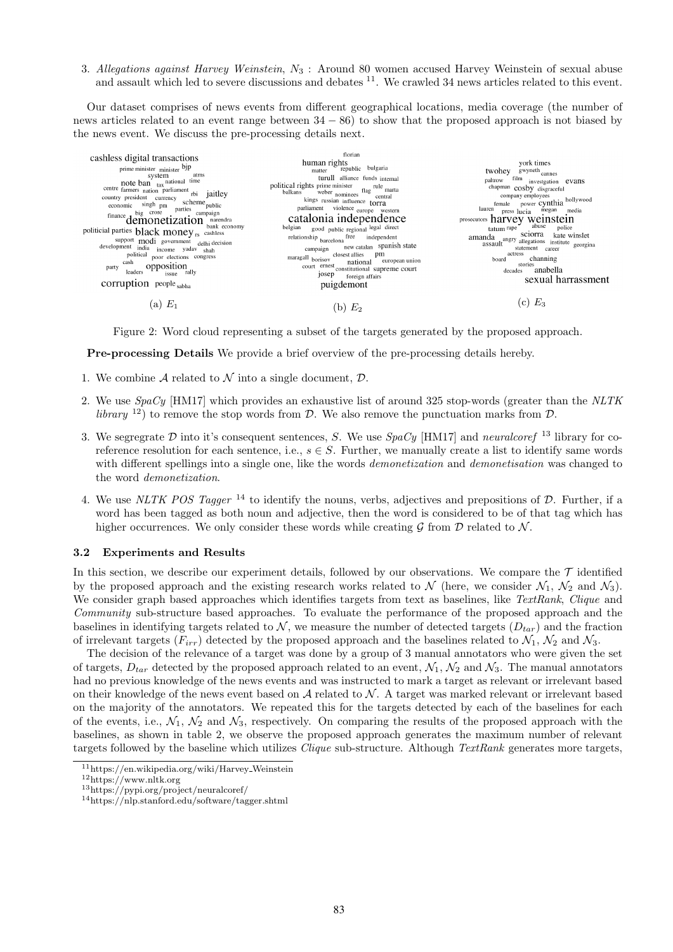3. *Allegations against Harvey Weinstein*, *N*<sup>3</sup> : Around 80 women accused Harvey Weinstein of sexual abuse and assault which led to severe discussions and debates <sup>11</sup>. We crawled 34 news articles related to this event.

Our dataset comprises of news events from different geographical locations, media coverage (the number of news articles related to an event range between  $34 - 86$ ) to show that the proposed approach is not biased by the news event. We discuss the pre-processing details next.



Figure 2: Word cloud representing a subset of the targets generated by the proposed approach.

Pre-processing Details We provide a brief overview of the pre-processing details hereby.

- 1. We combine *A* related to *N* into a single document, *D*.
- 2. We use *SpaCy* [HM17] which provides an exhaustive list of around 325 stop-words (greater than the *NLTK library* <sup>12</sup>) to remove the stop words from *D*. We also remove the punctuation marks from *D*.
- 3. We segregrate *<sup>D</sup>* into it's consequent sentences, *<sup>S</sup>*. We use *SpaCy* [HM17] and *neuralcoref* <sup>13</sup> library for coreference resolution for each sentence, i.e.,  $s \in S$ . Further, we manually create a list to identify same words with different spellings into a single one, like the words *demonetization* and *demonetisation* was changed to the word *demonetization*.
- 4. We use *NLTK POS Tagger* <sup>14</sup> to identify the nouns, verbs, adjectives and prepositions of *<sup>D</sup>*. Further, if a word has been tagged as both noun and adjective, then the word is considered to be of that tag which has higher occurrences. We only consider these words while creating  $G$  from  $D$  related to  $N$ .

#### 3.2 Experiments and Results

In this section, we describe our experiment details, followed by our observations. We compare the  $\tau$  identified by the proposed approach and the existing research works related to  $\mathcal N$  (here, we consider  $\mathcal N_1, \mathcal N_2$  and  $\mathcal N_3$ ). We consider graph based approaches which identifies targets from text as baselines, like *TextRank*, *Clique* and *Community* sub-structure based approaches. To evaluate the performance of the proposed approach and the baselines in identifying targets related to  $N$ , we measure the number of detected targets  $(D_{tar})$  and the fraction of irrelevant targets  $(F_{irr})$  detected by the proposed approach and the baselines related to  $\mathcal{N}_1$ ,  $\mathcal{N}_2$  and  $\mathcal{N}_3$ .

The decision of the relevance of a target was done by a group of 3 manual annotators who were given the set of targets,  $D_{tar}$  detected by the proposed approach related to an event,  $\mathcal{N}_1$ ,  $\mathcal{N}_2$  and  $\mathcal{N}_3$ . The manual annotators had no previous knowledge of the news events and was instructed to mark a target as relevant or irrelevant based on their knowledge of the news event based on  $A$  related to  $N$ . A target was marked relevant or irrelevant based on the majority of the annotators. We repeated this for the targets detected by each of the baselines for each of the events, i.e.,  $\mathcal{N}_1$ ,  $\mathcal{N}_2$  and  $\mathcal{N}_3$ , respectively. On comparing the results of the proposed approach with the baselines, as shown in table 2, we observe the proposed approach generates the maximum number of relevant targets followed by the baseline which utilizes *Clique* sub-structure. Although *TextRank* generates more targets,

<sup>11</sup>https://en.wikipedia.org/wiki/Harvey Weinstein

<sup>12</sup>https://www.nltk.org

<sup>13</sup>https://pypi.org/project/neuralcoref/

<sup>14</sup>https://nlp.stanford.edu/software/tagger.shtml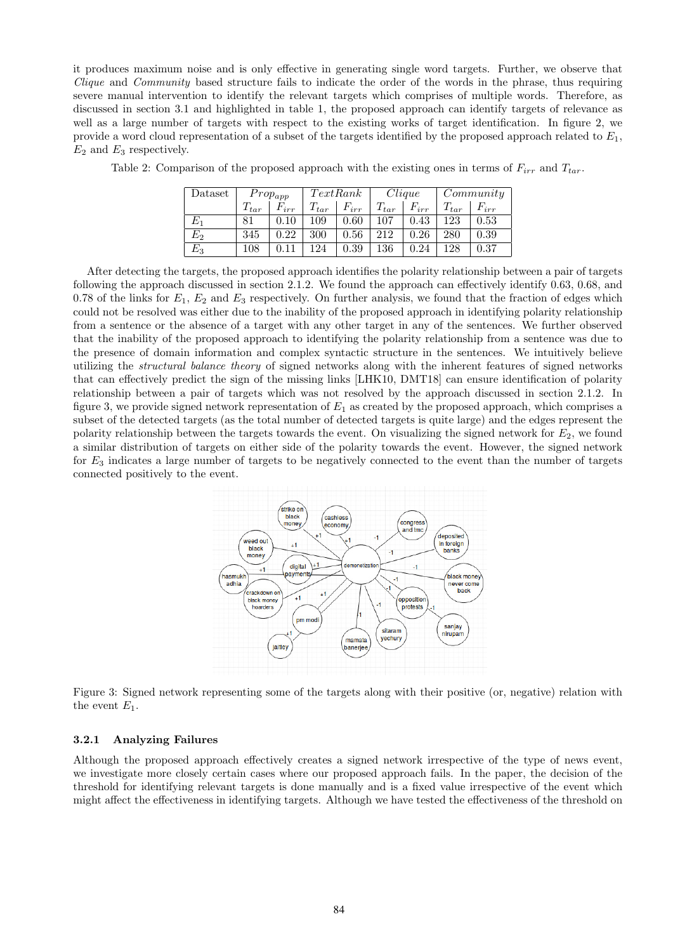it produces maximum noise and is only effective in generating single word targets. Further, we observe that *Clique* and *Community* based structure fails to indicate the order of the words in the phrase, thus requiring severe manual intervention to identify the relevant targets which comprises of multiple words. Therefore, as discussed in section 3.1 and highlighted in table 1, the proposed approach can identify targets of relevance as well as a large number of targets with respect to the existing works of target identification. In figure 2, we provide a word cloud representation of a subset of the targets identified by the proposed approach related to *E*1, *E*<sup>2</sup> and *E*<sup>3</sup> respectively.

| Dataset | $Prop_{app}$ |           | TextRank  |           | Clique    |           | Commu     |           |
|---------|--------------|-----------|-----------|-----------|-----------|-----------|-----------|-----------|
|         | $T_{tar}$    | $F_{irr}$ | $T_{tar}$ | $F_{irr}$ | $T_{tar}$ | $F_{irr}$ | $T_{tar}$ | $F_{irr}$ |
| E1      | 81           | 0.10      | 109       | 0.60      | 107       | 0.43      | 123       | 0.53      |
| E2      | 345          | 0.22      | 300       | 0.56      | 212       | 0.26      | 280       | 0.39      |
| $E_{3}$ | 108          |           | 124       | 0.39      | 136       | 0.24      | 128       | 0.37      |

Table 2: Comparison of the proposed approach with the existing ones in terms of *Firr* and *Ttar*.

After detecting the targets, the proposed approach identifies the polarity relationship between a pair of targets following the approach discussed in section 2.1.2. We found the approach can effectively identify 0.63, 0.68, and 0.78 of the links for  $E_1$ ,  $E_2$  and  $E_3$  respectively. On further analysis, we found that the fraction of edges which could not be resolved was either due to the inability of the proposed approach in identifying polarity relationship from a sentence or the absence of a target with any other target in any of the sentences. We further observed that the inability of the proposed approach to identifying the polarity relationship from a sentence was due to the presence of domain information and complex syntactic structure in the sentences. We intuitively believe utilizing the *structural balance theory* of signed networks along with the inherent features of signed networks that can effectively predict the sign of the missing links [LHK10, DMT18] can ensure identification of polarity relationship between a pair of targets which was not resolved by the approach discussed in section 2.1.2. In figure 3, we provide signed network representation of *E*<sup>1</sup> as created by the proposed approach, which comprises a subset of the detected targets (as the total number of detected targets is quite large) and the edges represent the polarity relationship between the targets towards the event. On visualizing the signed network for *E*2, we found a similar distribution of targets on either side of the polarity towards the event. However, the signed network for *E*<sup>3</sup> indicates a large number of targets to be negatively connected to the event than the number of targets connected positively to the event.



Figure 3: Signed network representing some of the targets along with their positive (or, negative) relation with the event  $E_1$ .

### 3.2.1 Analyzing Failures

Although the proposed approach effectively creates a signed network irrespective of the type of news event, we investigate more closely certain cases where our proposed approach fails. In the paper, the decision of the threshold for identifying relevant targets is done manually and is a fixed value irrespective of the event which might affect the effectiveness in identifying targets. Although we have tested the effectiveness of the threshold on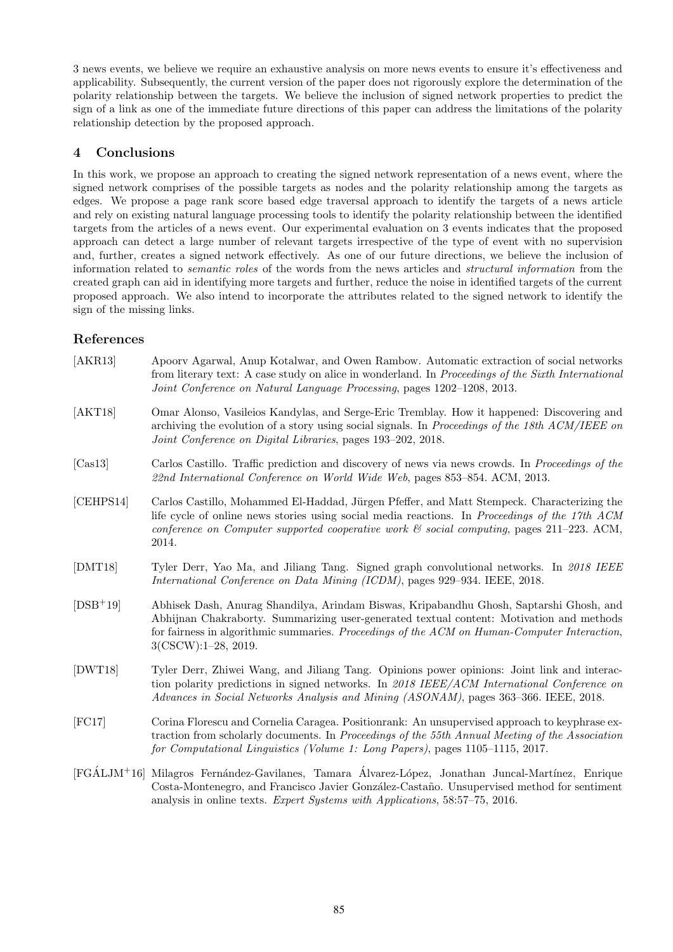3 news events, we believe we require an exhaustive analysis on more news events to ensure it's effectiveness and applicability. Subsequently, the current version of the paper does not rigorously explore the determination of the polarity relationship between the targets. We believe the inclusion of signed network properties to predict the sign of a link as one of the immediate future directions of this paper can address the limitations of the polarity relationship detection by the proposed approach.

## 4 Conclusions

In this work, we propose an approach to creating the signed network representation of a news event, where the signed network comprises of the possible targets as nodes and the polarity relationship among the targets as edges. We propose a page rank score based edge traversal approach to identify the targets of a news article and rely on existing natural language processing tools to identify the polarity relationship between the identified targets from the articles of a news event. Our experimental evaluation on 3 events indicates that the proposed approach can detect a large number of relevant targets irrespective of the type of event with no supervision and, further, creates a signed network effectively. As one of our future directions, we believe the inclusion of information related to *semantic roles* of the words from the news articles and *structural information* from the created graph can aid in identifying more targets and further, reduce the noise in identified targets of the current proposed approach. We also intend to incorporate the attributes related to the signed network to identify the sign of the missing links.

## References

| [AKR13]    | Apoorv Agarwal, Anup Kotalwar, and Owen Rambow. Automatic extraction of social networks<br>from literary text: A case study on alice in wonderland. In Proceedings of the Sixth International<br>Joint Conference on Natural Language Processing, pages 1202-1208, 2013.                                      |
|------------|---------------------------------------------------------------------------------------------------------------------------------------------------------------------------------------------------------------------------------------------------------------------------------------------------------------|
| [AKT18]    | Omar Alonso, Vasileios Kandylas, and Serge-Eric Tremblay. How it happened: Discovering and<br>archiving the evolution of a story using social signals. In Proceedings of the 18th ACM/IEEE on<br>Joint Conference on Digital Libraries, pages 193-202, 2018.                                                  |
| [Cas13]    | Carlos Castillo. Traffic prediction and discovery of news via news crowds. In <i>Proceedings of the</i><br>22nd International Conference on World Wide Web, pages 853-854. ACM, 2013.                                                                                                                         |
| [CEHPS14]  | Carlos Castillo, Mohammed El-Haddad, Jürgen Pfeffer, and Matt Stempeck. Characterizing the<br>life cycle of online news stories using social media reactions. In Proceedings of the 17th ACM<br>conference on Computer supported cooperative work $\mathcal C$ social computing, pages 211-223. ACM,<br>2014. |
| [DMT18]    | Tyler Derr, Yao Ma, and Jiliang Tang. Signed graph convolutional networks. In 2018 IEEE<br>International Conference on Data Mining (ICDM), pages 929–934. IEEE, 2018.                                                                                                                                         |
| $[DSB+19]$ | Abhisek Dash, Anurag Shandilya, Arindam Biswas, Kripabandhu Ghosh, Saptarshi Ghosh, and<br>Abhijnan Chakraborty. Summarizing user-generated textual content: Motivation and methods<br>for fairness in algorithmic summaries. Proceedings of the ACM on Human-Computer Interaction,<br>$3(CSCW):1-28, 2019.$  |
| (DWT18)    | Tyler Derr, Zhiwei Wang, and Jiliang Tang. Opinions power opinions: Joint link and interac-<br>tion polarity predictions in signed networks. In 2018 IEEE/ACM International Conference on<br>Advances in Social Networks Analysis and Mining (ASONAM), pages 363–366. IEEE, 2018.                             |
| [FC17]     | Corina Florescu and Cornelia Caragea. Positionrank: An unsupervised approach to keyphrase ex-<br>traction from scholarly documents. In Proceedings of the 55th Annual Meeting of the Association<br>for Computational Linguistics (Volume 1: Long Papers), pages 1105–1115, 2017.                             |
|            | [FGÁLJM <sup>+</sup> 16] Milagros Fernández-Gavilanes, Tamara Álvarez-López, Jonathan Juncal-Martínez, Enrique<br>Costa-Montenegro, and Francisco Javier González-Castaño. Unsupervised method for sentiment<br>analysis in online texts. <i>Expert Systems with Applications</i> , 58:57–75, 2016.           |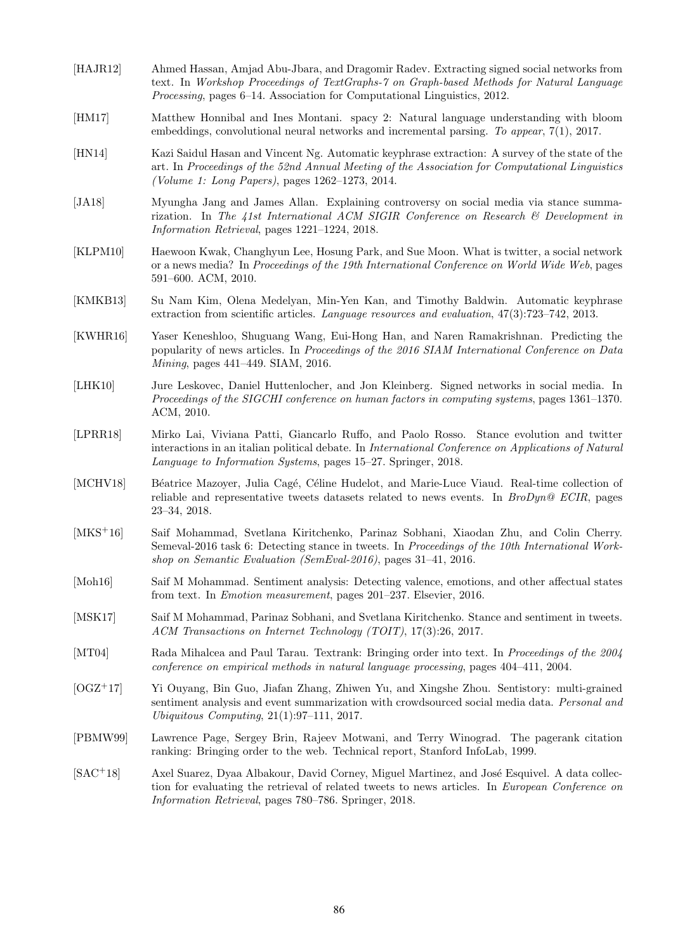- [HAJR12] Ahmed Hassan, Amjad Abu-Jbara, and Dragomir Radev. Extracting signed social networks from text. In *Workshop Proceedings of TextGraphs-7 on Graph-based Methods for Natural Language Processing*, pages 6–14. Association for Computational Linguistics, 2012.
- [HM17] Matthew Honnibal and Ines Montani. spacy 2: Natural language understanding with bloom embeddings, convolutional neural networks and incremental parsing. *To appear*, 7(1), 2017.
- [HN14] Kazi Saidul Hasan and Vincent Ng. Automatic keyphrase extraction: A survey of the state of the art. In *Proceedings of the 52nd Annual Meeting of the Association for Computational Linguistics (Volume 1: Long Papers)*, pages 1262–1273, 2014.
- [JA18] Myungha Jang and James Allan. Explaining controversy on social media via stance summarization. In *The 41st International ACM SIGIR Conference on Research & Development in Information Retrieval*, pages 1221–1224, 2018.
- [KLPM10] Haewoon Kwak, Changhyun Lee, Hosung Park, and Sue Moon. What is twitter, a social network or a news media? In *Proceedings of the 19th International Conference on World Wide Web*, pages 591–600. ACM, 2010.
- [KMKB13] Su Nam Kim, Olena Medelyan, Min-Yen Kan, and Timothy Baldwin. Automatic keyphrase extraction from scientific articles. *Language resources and evaluation*, 47(3):723–742, 2013.
- [KWHR16] Yaser Keneshloo, Shuguang Wang, Eui-Hong Han, and Naren Ramakrishnan. Predicting the popularity of news articles. In *Proceedings of the 2016 SIAM International Conference on Data Mining*, pages 441–449. SIAM, 2016.
- [LHK10] Jure Leskovec, Daniel Huttenlocher, and Jon Kleinberg. Signed networks in social media. In *Proceedings of the SIGCHI conference on human factors in computing systems*, pages 1361–1370. ACM, 2010.
- [LPRR18] Mirko Lai, Viviana Patti, Giancarlo Ruffo, and Paolo Rosso. Stance evolution and twitter interactions in an italian political debate. In *International Conference on Applications of Natural Language to Information Systems*, pages 15–27. Springer, 2018.
- [MCHV18] Béatrice Mazoyer, Julia Cagé, Céline Hudelot, and Marie-Luce Viaud. Real-time collection of reliable and representative tweets datasets related to news events. In *BroDyn@ ECIR*, pages 23–34, 2018.
- [MKS<sup>+</sup>16] Saif Mohammad, Svetlana Kiritchenko, Parinaz Sobhani, Xiaodan Zhu, and Colin Cherry. Semeval-2016 task 6: Detecting stance in tweets. In *Proceedings of the 10th International Workshop on Semantic Evaluation (SemEval-2016)*, pages 31–41, 2016.
- [Moh16] Saif M Mohammad. Sentiment analysis: Detecting valence, emotions, and other affectual states from text. In *Emotion measurement*, pages 201–237. Elsevier, 2016.
- [MSK17] Saif M Mohammad, Parinaz Sobhani, and Svetlana Kiritchenko. Stance and sentiment in tweets. *ACM Transactions on Internet Technology (TOIT)*, 17(3):26, 2017.
- [MT04] Rada Mihalcea and Paul Tarau. Textrank: Bringing order into text. In *Proceedings of the 2004 conference on empirical methods in natural language processing*, pages 404–411, 2004.
- [OGZ<sup>+</sup>17] Yi Ouyang, Bin Guo, Jiafan Zhang, Zhiwen Yu, and Xingshe Zhou. Sentistory: multi-grained sentiment analysis and event summarization with crowdsourced social media data. *Personal and Ubiquitous Computing*, 21(1):97–111, 2017.
- [PBMW99] Lawrence Page, Sergey Brin, Rajeev Motwani, and Terry Winograd. The pagerank citation ranking: Bringing order to the web. Technical report, Stanford InfoLab, 1999.
- [SAC<sup>+</sup>18] Axel Suarez, Dyaa Albakour, David Corney, Miguel Martinez, and José Esquivel. A data collection for evaluating the retrieval of related tweets to news articles. In *European Conference on Information Retrieval*, pages 780–786. Springer, 2018.